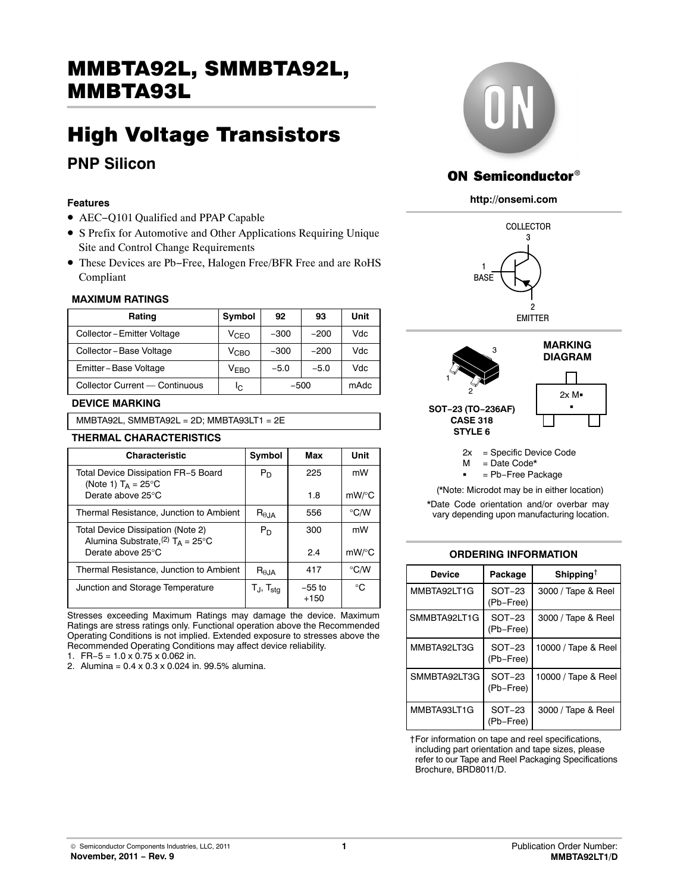# MMBTA92L, SMMBTA92L,  $\frac{1}{\sqrt{2}}$

## High Voltage Transistors **PNP Silicon**

### **Features**

- AEC−Q101 Qualified and PPAP Capable
- S Prefix for Automotive and Other Applications Requiring Unique Site and Control Change Requirements
- These Devices are Pb−Free, Halogen Free/BFR Free and are RoHS Compliant

### **MAXIMUM RATINGS**

| Rating                         | Symbol           | 92     | 93     | Unit |
|--------------------------------|------------------|--------|--------|------|
| Collector - Emitter Voltage    | VcFo             | $-300$ | $-200$ | Vdc  |
| Collector-Base Voltage         | $\rm V_{CBO}$    | $-300$ | $-200$ | Vdc  |
| Emitter-Base Voltage           | V <sub>FRO</sub> | $-5.0$ | $-5.0$ | Vdc  |
| Collector Current - Continuous | ΙC               | $-500$ |        | mAdc |

### **DEVICE MARKING**

MMBTA92L, SMMBTA92L = 2D; MMBTA93LT1 = 2E

### **THERMAL CHARACTERISTICS**

| <b>Characteristic</b>                                                               | Symbol                  | Max                | Unit          |
|-------------------------------------------------------------------------------------|-------------------------|--------------------|---------------|
| Total Device Dissipation FR-5 Board<br>(Note 1) $T_A = 25^{\circ}$ C                | $P_D$                   | 225                | mW            |
| Derate above 25°C                                                                   |                         | 1.8                | mW/°C         |
| Thermal Resistance, Junction to Ambient                                             | $R_{\theta, \text{JA}}$ | 556                | $\degree$ C/W |
| Total Device Dissipation (Note 2)<br>Alumina Substrate, $(2)$ T <sub>A</sub> = 25°C | $P_D$                   | 300                | mW            |
| Derate above 25°C                                                                   |                         | 2.4                | $mW$ /°C      |
| Thermal Resistance, Junction to Ambient                                             | R <sub>0.1A</sub>       | 417                | $\degree$ C/W |
| Junction and Storage Temperature                                                    | Tj, T <sub>sta</sub>    | $-55$ to<br>$+150$ | °C            |

Stresses exceeding Maximum Ratings may damage the device. Maximum Ratings are stress ratings only. Functional operation above the Recommended Operating Conditions is not implied. Extended exposure to stresses above the Recommended Operating Conditions may affect device reliability.

1. FR−5 = 1.0 x 0.75 x 0.062 in.

2. Alumina = 0.4 x 0.3 x 0.024 in. 99.5% alumina.



### **ON Semiconductor®**

### **http://onsemi.com**







= Pb−Free Package

(\*Note: Microdot may be in either location)

\*Date Code orientation and/or overbar may vary depending upon manufacturing location.

### **ORDERING INFORMATION**

| <b>Device</b> | Package               | Shipping <sup>†</sup> |
|---------------|-----------------------|-----------------------|
| MMBTA92LT1G   | $SOT-23$<br>(Pb-Free) | 3000 / Tape & Reel    |
| SMMBTA92LT1G  | $SOT-23$<br>(Pb-Free) | 3000 / Tape & Reel    |
| MMBTA92LT3G   | $SOT-23$<br>(Pb-Free) | 10000 / Tape & Reel   |
| SMMBTA92LT3G  | $SOT-23$<br>(Pb-Free) | 10000 / Tape & Reel   |
| MMBTA93LT1G   | $SOT-23$<br>(Pb-Free) | 3000 / Tape & Reel    |

†For information on tape and reel specifications, including part orientation and tape sizes, please refer to our Tape and Reel Packaging Specifications Brochure, BRD8011/D.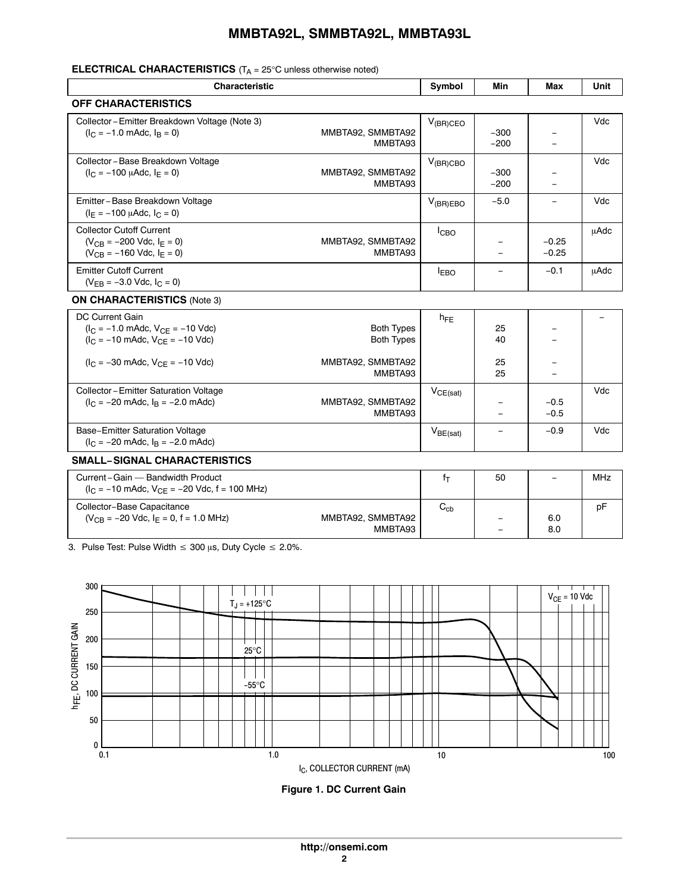### **MMBTA92L, SMMBTA92L, MMBTA93L**

### **ELECTRICAL CHARACTERISTICS** (T<sub>A</sub> = 25°C unless otherwise noted)

| <b>Characteristic</b>                                                                                                         |                                        | Symbol          | Min                      | Max                | Unit        |
|-------------------------------------------------------------------------------------------------------------------------------|----------------------------------------|-----------------|--------------------------|--------------------|-------------|
| <b>OFF CHARACTERISTICS</b>                                                                                                    |                                        |                 |                          |                    |             |
| Collector - Emitter Breakdown Voltage (Note 3)<br>$(I_C = -1.0$ mAdc, $I_B = 0$ )                                             | MMBTA92, SMMBTA92<br>MMBTA93           | $V_{(BR)CEO}$   | $-300$<br>$-200$         |                    | Vdc         |
| Collector-Base Breakdown Voltage<br>$(I_C = -100 \mu A d c, I_E = 0)$                                                         | MMBTA92, SMMBTA92<br>MMBTA93           | $V_{(BR)CBO}$   | $-300$<br>$-200$         |                    | Vdc         |
| Emitter-Base Breakdown Voltage<br>$(I_F = -100 \mu A d c, I_C = 0)$                                                           |                                        | $V_{(BR)EBO}$   | $-5.0$                   |                    | Vdc         |
| <b>Collector Cutoff Current</b><br>$(V_{CR} = -200$ Vdc, $I_F = 0$ )<br>$(V_{CB} = -160$ Vdc, $I_F = 0$ )                     | MMBTA92, SMMBTA92<br>MMBTA93           | <b>ICBO</b>     |                          | $-0.25$<br>$-0.25$ | <b>uAdc</b> |
| <b>Emitter Cutoff Current</b><br>$(V_{\text{FR}} = -3.0$ Vdc, $I_C = 0$ )                                                     |                                        | $I_{EBO}$       | $\overline{\phantom{0}}$ | $-0.1$             | <b>µAdc</b> |
| <b>ON CHARACTERISTICS (Note 3)</b>                                                                                            |                                        |                 |                          |                    |             |
| <b>DC Current Gain</b><br>$(I_C = -1.0$ mAdc, $V_{CE} = -10$ Vdc)<br>$(I_C = -10 \text{ m}$ Adc, $V_{CE} = -10 \text{ V}$ dc) | <b>Both Types</b><br><b>Both Types</b> | $h_{\text{FF}}$ | 25<br>40                 |                    |             |
| $(I_C = -30 \text{ m}$ Adc, $V_{CE} = -10 \text{ V}$ dc)                                                                      | MMBTA92, SMMBTA92<br>MMBTA93           |                 | 25<br>25                 |                    |             |
| Collector - Emitter Saturation Voltage<br>$(I_C = -20 \text{ m}$ Adc, $I_R = -2.0 \text{ m}$ Adc)                             | MMBTA92, SMMBTA92<br>MMBTA93           | $V_{CE(sat)}$   |                          | $-0.5$<br>$-0.5$   | Vdc         |
| Base-Emitter Saturation Voltage<br>$(I_C = -20 \text{ m}$ Adc, $I_B = -2.0 \text{ m}$ Adc)                                    |                                        | $V_{BE(sat)}$   |                          | $-0.9$             | Vdc         |
| <b>SMALL-SIGNAL CHARACTERISTICS</b>                                                                                           |                                        |                 |                          |                    |             |
| Current-Gain - Bandwidth Product<br>$(I_C = -10 \text{ m}$ Adc, $V_{CE} = -20 \text{ V}$ dc, f = 100 MHz)                     |                                        | $f_T$           | 50                       | $\equiv$           | <b>MHz</b>  |
| Collector-Base Capacitance<br>$(V_{CB} = -20$ Vdc, $I_E = 0$ , f = 1.0 MHz)                                                   | MMBTA92, SMMBTA92<br>MMBTA93           | $C_{cb}$        |                          | 6.0<br>8.0         | рF          |

3. Pulse Test: Pulse Width  $\leq 300$   $\mu$ s, Duty Cycle  $\leq 2.0\%$ .



**Figure 1. DC Current Gain**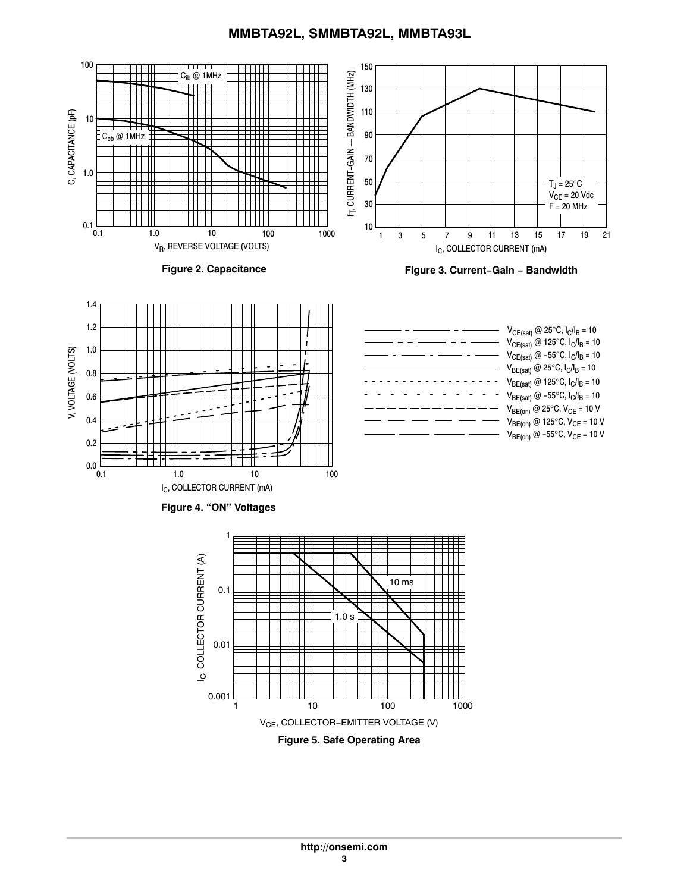### **MMBTA92L, SMMBTA92L, MMBTA93L**